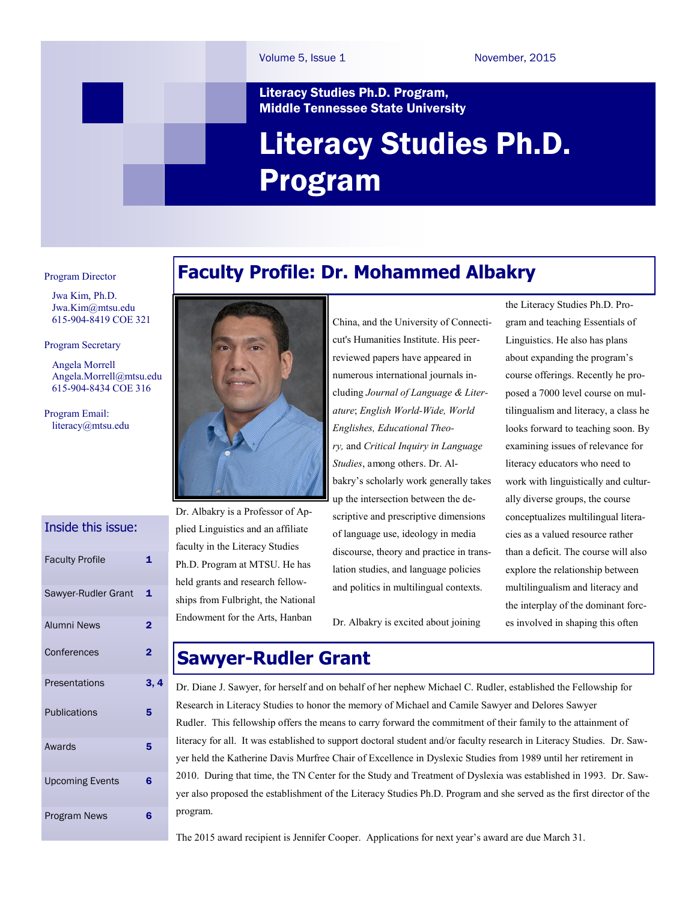#### Literacy Studies Ph.D. Program, Middle Tennessee State University

# Literacy Studies Ph.D. Program

#### Program Director

 Jwa Kim, Ph.D. [Jwa.Kim@mtsu.edu](mailto:pykim@mtsu.edu)  615-904-8419 COE 321

#### Program Secretary

 Angela Morrell Angela.Morrel[l@mtsu.edu](mailto:pykim@mtsu.edu) 615-904-8434 COE 316

Program Email: literacy@mtsu.edu

### Inside this issue:

| <b>Faculty Profile</b> | 1                       |
|------------------------|-------------------------|
| Sawyer-Rudler Grant    | 1                       |
| <b>Alumni News</b>     | $\mathbf 2$             |
| Conferences            | $\overline{\mathbf{2}}$ |
| Presentations          | 3, 4                    |
| <b>Publications</b>    | 5                       |
| Awards                 | 5                       |
| <b>Upcoming Events</b> | 6                       |
| <b>Program News</b>    | 6                       |





Dr. Albakry is a Professor of Applied Linguistics and an affiliate faculty in the Literacy Studies Ph.D. Program at MTSU. He has held grants and research fellowships from Fulbright, the National Endowment for the Arts, Hanban

China, and the University of Connecticut's Humanities Institute. His peerreviewed papers have appeared in numerous international journals including *Journal of Language & Literature*; *English World-Wide, World Englishes, Educational Theory,* and *Critical Inquiry in Language Studies*, among others. Dr. Albakry's scholarly work generally takes up the intersection between the descriptive and prescriptive dimensions of language use, ideology in media discourse, theory and practice in translation studies, and language policies and politics in multilingual contexts.

Dr. Albakry is excited about joining

the Literacy Studies Ph.D. Program and teaching Essentials of Linguistics. He also has plans about expanding the program's course offerings. Recently he proposed a 7000 level course on multilingualism and literacy, a class he looks forward to teaching soon. By examining issues of relevance for literacy educators who need to work with linguistically and culturally diverse groups, the course conceptualizes multilingual literacies as a valued resource rather than a deficit. The course will also explore the relationship between multilingualism and literacy and the interplay of the dominant forces involved in shaping this often

# **Sawyer-Rudler Grant**

Dr. Diane J. Sawyer, for herself and on behalf of her nephew Michael C. Rudler, established the Fellowship for Research in Literacy Studies to honor the memory of Michael and Camile Sawyer and Delores Sawyer Rudler. This fellowship offers the means to carry forward the commitment of their family to the attainment of literacy for all. It was established to support doctoral student and/or faculty research in Literacy Studies. Dr. Sawyer held the Katherine Davis Murfree Chair of Excellence in Dyslexic Studies from 1989 until her retirement in 2010. During that time, the TN Center for the Study and Treatment of Dyslexia was established in 1993. Dr. Sawyer also proposed the establishment of the Literacy Studies Ph.D. Program and she served as the first director of the program.

The 2015 award recipient is Jennifer Cooper. Applications for next year's award are due March 31.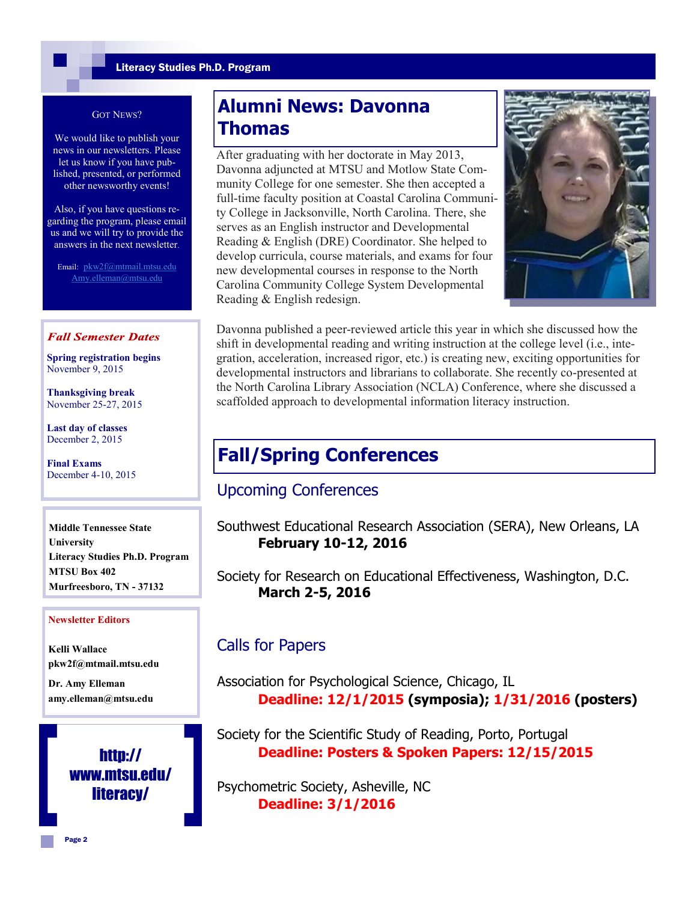#### GOT NEWS?

We would like to publish your news in our newsletters. Please let us know if you have published, presented, or performed other newsworthy events!

Also, if you have questions regarding the program, please email us and we will try to provide the answers in the next newsletter.

Email: pkw2f@mtmail.mtsu.edu Amy.elleman@mtsu.edu

#### **Fall Semester Dates**

**Spring registration begins**  November 9, 2015

**Thanksgiving break** November 25-27, 2015

**Last day of classes** December 2, 2015

**Final Exams** December 4-10, 2015

**Middle Tennessee State University Literacy Studies Ph.D. Program MTSU Box 402 Murfreesboro, TN - 37132**

#### **Newsletter Editors**

**Kelli Wallace pkw2f@mtmail.mtsu.edu**

**Dr. Amy Elleman amy.elleman@mtsu.edu**



## **Alumni News: Davonna Thomas**

After graduating with her doctorate in May 2013, Davonna adjuncted at MTSU and Motlow State Community College for one semester. She then accepted a full-time faculty position at Coastal Carolina Community College in Jacksonville, North Carolina. There, she serves as an English instructor and Developmental Reading & English (DRE) Coordinator. She helped to develop curricula, course materials, and exams for four new developmental courses in response to the North Carolina Community College System Developmental Reading & English redesign.



Davonna published a peer-reviewed article this year in which she discussed how the shift in developmental reading and writing instruction at the college level (i.e., integration, acceleration, increased rigor, etc.) is creating new, exciting opportunities for developmental instructors and librarians to collaborate. She recently co-presented at the North Carolina Library Association (NCLA) Conference, where she discussed a scaffolded approach to developmental information literacy instruction.

## **Fall/Spring Conferences**

### Upcoming Conferences

Southwest Educational Research Association (SERA), New Orleans, LA **February 10-12, 2016**

Society for Research on Educational Effectiveness, Washington, D.C. **March 2-5, 2016**

### Calls for Papers

Association for Psychological Science, Chicago, IL **Deadline: 12/1/2015 (symposia); 1/31/2016 (posters)**

Society for the Scientific Study of Reading, Porto, Portugal **Deadline: Posters & Spoken Papers: 12/15/2015**

Psychometric Society, Asheville, NC **Deadline: 3/1/2016**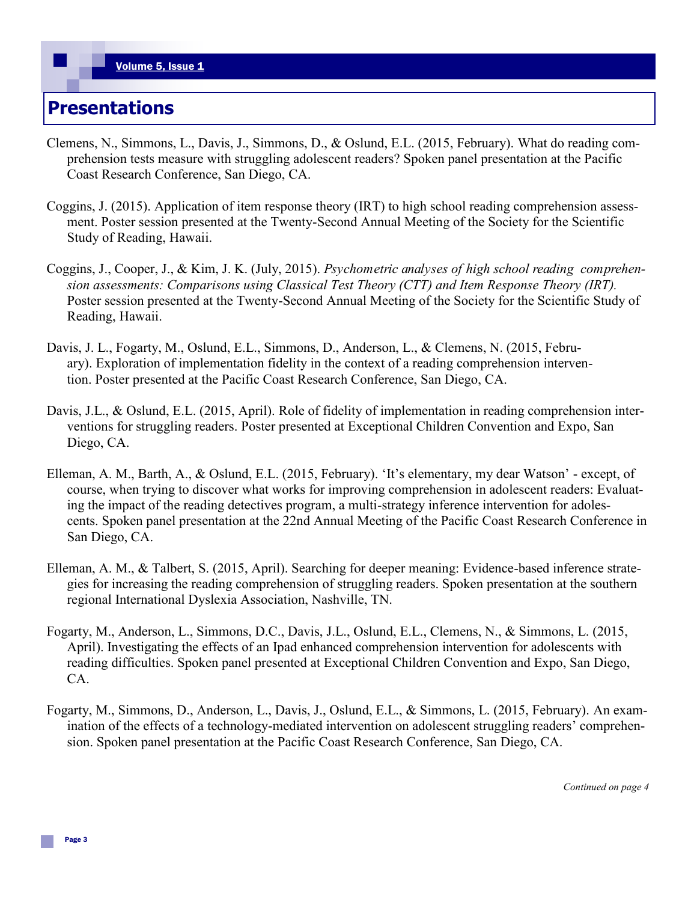### **Presentations**

- Clemens, N., Simmons, L., Davis, J., Simmons, D., & Oslund, E.L. (2015, February). What do reading comprehension tests measure with struggling adolescent readers? Spoken panel presentation at the Pacific Coast Research Conference, San Diego, CA.
- Coggins, J. (2015). Application of item response theory (IRT) to high school reading comprehension assessment. Poster session presented at the Twenty-Second Annual Meeting of the Society for the Scientific Study of Reading, Hawaii.
- Coggins, J., Cooper, J., & Kim, J. K. (July, 2015). *Psychometric analyses of high school reading comprehension assessments: Comparisons using Classical Test Theory (CTT) and Item Response Theory (IRT).* Poster session presented at the Twenty-Second Annual Meeting of the Society for the Scientific Study of Reading, Hawaii.
- Davis, J. L., Fogarty, M., Oslund, E.L., Simmons, D., Anderson, L., & Clemens, N. (2015, February). Exploration of implementation fidelity in the context of a reading comprehension intervention. Poster presented at the Pacific Coast Research Conference, San Diego, CA.
- Davis, J.L., & Oslund, E.L. (2015, April). Role of fidelity of implementation in reading comprehension interventions for struggling readers. Poster presented at Exceptional Children Convention and Expo, San Diego, CA.
- Elleman, A. M., Barth, A., & Oslund, E.L. (2015, February). 'It's elementary, my dear Watson' except, of course, when trying to discover what works for improving comprehension in adolescent readers: Evaluating the impact of the reading detectives program, a multi-strategy inference intervention for adolescents. Spoken panel presentation at the 22nd Annual Meeting of the Pacific Coast Research Conference in San Diego, CA.
- Elleman, A. M., & Talbert, S. (2015, April). Searching for deeper meaning: Evidence-based inference strategies for increasing the reading comprehension of struggling readers. Spoken presentation at the southern regional International Dyslexia Association, Nashville, TN.
- Fogarty, M., Anderson, L., Simmons, D.C., Davis, J.L., Oslund, E.L., Clemens, N., & Simmons, L. (2015, April). Investigating the effects of an Ipad enhanced comprehension intervention for adolescents with reading difficulties. Spoken panel presented at Exceptional Children Convention and Expo, San Diego, CA.
- Fogarty, M., Simmons, D., Anderson, L., Davis, J., Oslund, E.L., & Simmons, L. (2015, February). An examination of the effects of a technology-mediated intervention on adolescent struggling readers' comprehension. Spoken panel presentation at the Pacific Coast Research Conference, San Diego, CA.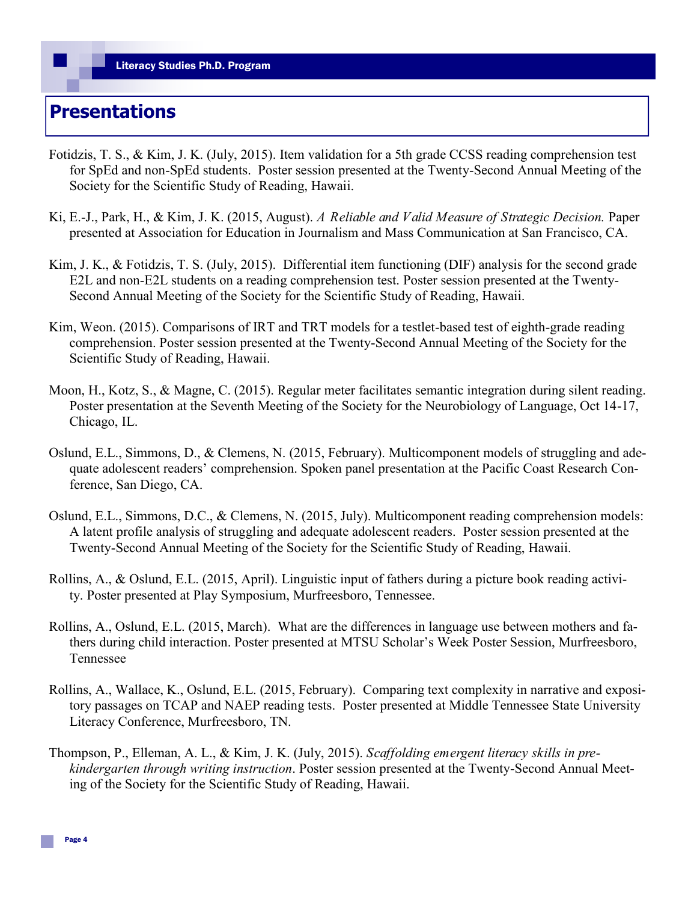# **Presentations**

- Fotidzis, T. S., & Kim, J. K. (July, 2015). Item validation for a 5th grade CCSS reading comprehension test for SpEd and non-SpEd students. Poster session presented at the Twenty-Second Annual Meeting of the Society for the Scientific Study of Reading, Hawaii.
- Ki, E.-J., Park, H., & Kim, J. K. (2015, August). *A Reliable and Valid Measure of Strategic Decision.* Paper presented at Association for Education in Journalism and Mass Communication at San Francisco, CA.
- Kim, J. K., & Fotidzis, T. S. (July, 2015). Differential item functioning (DIF) analysis for the second grade E2L and non-E2L students on a reading comprehension test. Poster session presented at the Twenty-Second Annual Meeting of the Society for the Scientific Study of Reading, Hawaii.
- Kim, Weon. (2015). Comparisons of IRT and TRT models for a testlet-based test of eighth-grade reading comprehension. Poster session presented at the Twenty-Second Annual Meeting of the Society for the Scientific Study of Reading, Hawaii.
- Moon, H., Kotz, S., & Magne, C. (2015). Regular meter facilitates semantic integration during silent reading. Poster presentation at the Seventh Meeting of the Society for the Neurobiology of Language, Oct 14-17, Chicago, IL.
- Oslund, E.L., Simmons, D., & Clemens, N. (2015, February). Multicomponent models of struggling and adequate adolescent readers' comprehension. Spoken panel presentation at the Pacific Coast Research Conference, San Diego, CA.
- Oslund, E.L., Simmons, D.C., & Clemens, N. (2015, July). Multicomponent reading comprehension models: A latent profile analysis of struggling and adequate adolescent readers. Poster session presented at the Twenty-Second Annual Meeting of the Society for the Scientific Study of Reading, Hawaii.
- Rollins, A., & Oslund, E.L. (2015, April). Linguistic input of fathers during a picture book reading activity. Poster presented at Play Symposium, Murfreesboro, Tennessee.
- Rollins, A., Oslund, E.L. (2015, March). What are the differences in language use between mothers and fathers during child interaction. Poster presented at MTSU Scholar's Week Poster Session, Murfreesboro, Tennessee
- Rollins, A., Wallace, K., Oslund, E.L. (2015, February). Comparing text complexity in narrative and expository passages on TCAP and NAEP reading tests. Poster presented at Middle Tennessee State University Literacy Conference, Murfreesboro, TN.
- Thompson, P., Elleman, A. L., & Kim, J. K. (July, 2015). *Scaffolding emergent literacy skills in prekindergarten through writing instruction*. Poster session presented at the Twenty-Second Annual Meeting of the Society for the Scientific Study of Reading, Hawaii.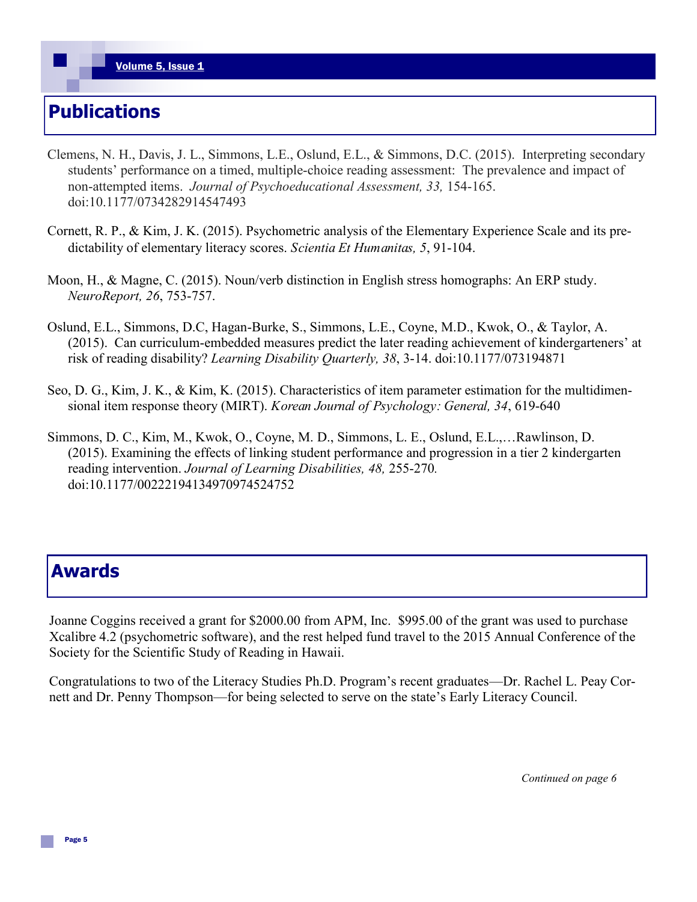# **Publications**

- Clemens, N. H., Davis, J. L., Simmons, L.E., Oslund, E.L., & Simmons, D.C. (2015). Interpreting secondary students' performance on a timed, multiple-choice reading assessment: The prevalence and impact of non-attempted items. *Journal of Psychoeducational Assessment, 33,* 154-165. doi:10.1177/0734282914547493
- Cornett, R. P., & Kim, J. K. (2015). Psychometric analysis of the Elementary Experience Scale and its predictability of elementary literacy scores. *Scientia Et Humanitas, 5*, 91-104.
- Moon, H., & Magne, C. (2015). Noun/verb distinction in English stress homographs: An ERP study. *NeuroReport, 26*, 753-757.
- Oslund, E.L., Simmons, D.C, Hagan-Burke, S., Simmons, L.E., Coyne, M.D., Kwok, O., & Taylor, A. (2015). Can curriculum-embedded measures predict the later reading achievement of kindergarteners' at risk of reading disability? *Learning Disability Quarterly, 38*, 3-14. doi:10.1177/073194871
- Seo, D. G., Kim, J. K., & Kim, K. (2015). Characteristics of item parameter estimation for the multidimensional item response theory (MIRT). *Korean Journal of Psychology: General, 34*, 619-640
- Simmons, D. C., Kim, M., Kwok, O., Coyne, M. D., Simmons, L. E., Oslund, E.L.,…Rawlinson, D. (2015). Examining the effects of linking student performance and progression in a tier 2 kindergarten reading intervention. *Journal of Learning Disabilities, 48,* 255-270*.*  doi:10.1177/00222194134970974524752

### **Awards**

Joanne Coggins received a grant for \$2000.00 from APM, Inc. \$995.00 of the grant was used to purchase Xcalibre 4.2 (psychometric software), and the rest helped fund travel to the 2015 Annual Conference of the Society for the Scientific Study of Reading in Hawaii.

Congratulations to two of the Literacy Studies Ph.D. Program's recent graduates—Dr. Rachel L. Peay Cornett and Dr. Penny Thompson—for being selected to serve on the state's Early Literacy Council.

*Continued on page 6*